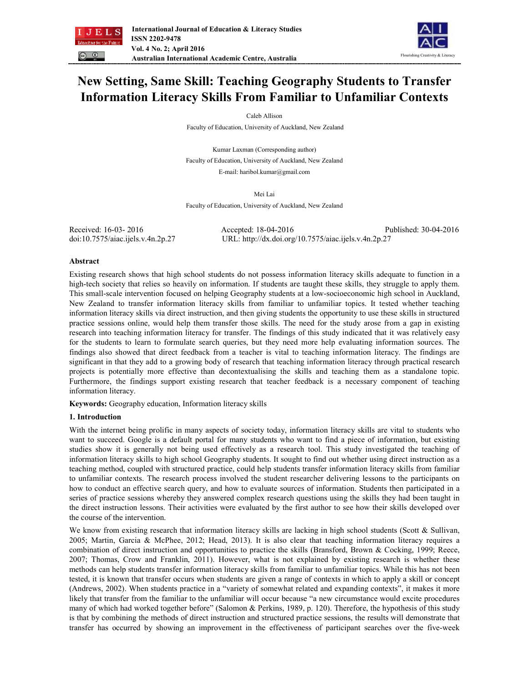



# **New Setting, Same Skill: Teaching Geography Students to Transfer Information Literacy Skills From Familiar to Unfamiliar Contexts**

Caleb Allison

Faculty of Education, University of Auckland, New Zealand

Kumar Laxman (Corresponding author) Faculty of Education, University of Auckland, New Zealand E-mail: haribol.kumar@gmail.com

Mei Lai

Faculty of Education, University of Auckland, New Zealand

| Received: 16-03-2016              | Accepted: 18-04-2016                                 | Published: 30-04-2016 |
|-----------------------------------|------------------------------------------------------|-----------------------|
| doi:10.7575/aiac.ijels.v.4n.2p.27 | URL: http://dx.doi.org/10.7575/aiac.ijels.v.4n.2p.27 |                       |

# **Abstract**

Existing research shows that high school students do not possess information literacy skills adequate to function in a high-tech society that relies so heavily on information. If students are taught these skills, they struggle to apply them. This small-scale intervention focused on helping Geography students at a low-socioeconomic high school in Auckland, New Zealand to transfer information literacy skills from familiar to unfamiliar topics. It tested whether teaching information literacy skills via direct instruction, and then giving students the opportunity to use these skills in structured practice sessions online, would help them transfer those skills. The need for the study arose from a gap in existing research into teaching information literacy for transfer. The findings of this study indicated that it was relatively easy for the students to learn to formulate search queries, but they need more help evaluating information sources. The findings also showed that direct feedback from a teacher is vital to teaching information literacy. The findings are significant in that they add to a growing body of research that teaching information literacy through practical research projects is potentially more effective than decontextualising the skills and teaching them as a standalone topic. Furthermore, the findings support existing research that teacher feedback is a necessary component of teaching information literacy.

**Keywords:** Geography education, Information literacy skills

# **1. Introduction**

With the internet being prolific in many aspects of society today, information literacy skills are vital to students who want to succeed. Google is a default portal for many students who want to find a piece of information, but existing studies show it is generally not being used effectively as a research tool. This study investigated the teaching of information literacy skills to high school Geography students. It sought to find out whether using direct instruction as a teaching method, coupled with structured practice, could help students transfer information literacy skills from familiar to unfamiliar contexts. The research process involved the student researcher delivering lessons to the participants on how to conduct an effective search query, and how to evaluate sources of information. Students then participated in a series of practice sessions whereby they answered complex research questions using the skills they had been taught in the direct instruction lessons. Their activities were evaluated by the first author to see how their skills developed over the course of the intervention.

We know from existing research that information literacy skills are lacking in high school students (Scott & Sullivan, 2005; Martin, Garcia & McPhee, 2012; Head, 2013). It is also clear that teaching information literacy requires a combination of direct instruction and opportunities to practice the skills (Bransford, Brown & Cocking, 1999; Reece, 2007; Thomas, Crow and Franklin, 2011). However, what is not explained by existing research is whether these methods can help students transfer information literacy skills from familiar to unfamiliar topics. While this has not been tested, it is known that transfer occurs when students are given a range of contexts in which to apply a skill or concept (Andrews, 2002). When students practice in a "variety of somewhat related and expanding contexts", it makes it more likely that transfer from the familiar to the unfamiliar will occur because "a new circumstance would excite procedures many of which had worked together before" (Salomon & Perkins, 1989, p. 120). Therefore, the hypothesis of this study is that by combining the methods of direct instruction and structured practice sessions, the results will demonstrate that transfer has occurred by showing an improvement in the effectiveness of participant searches over the five-week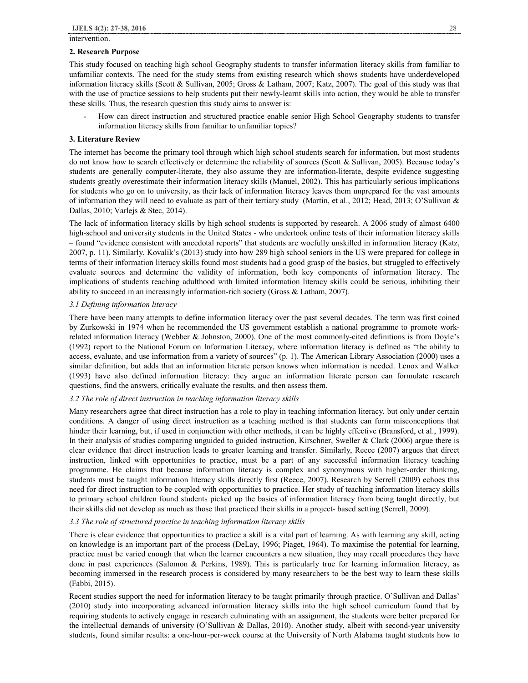intervention.

#### **2. Research Purpose**

This study focused on teaching high school Geography students to transfer information literacy skills from familiar to unfamiliar contexts. The need for the study stems from existing research which shows students have underdeveloped information literacy skills (Scott & Sullivan, 2005; Gross & Latham, 2007; Katz, 2007). The goal of this study was that with the use of practice sessions to help students put their newly-learnt skills into action, they would be able to transfer these skills. Thus, the research question this study aims to answer is:

- How can direct instruction and structured practice enable senior High School Geography students to transfer information literacy skills from familiar to unfamiliar topics?

## **3. Literature Review**

The internet has become the primary tool through which high school students search for information, but most students do not know how to search effectively or determine the reliability of sources (Scott & Sullivan, 2005). Because today's students are generally computer-literate, they also assume they are information-literate, despite evidence suggesting students greatly overestimate their information literacy skills (Manuel, 2002). This has particularly serious implications for students who go on to university, as their lack of information literacy leaves them unprepared for the vast amounts of information they will need to evaluate as part of their tertiary study (Martin, et al., 2012; Head, 2013; O'Sullivan & Dallas, 2010; Varlejs & Stec, 2014).

The lack of information literacy skills by high school students is supported by research. A 2006 study of almost 6400 high-school and university students in the United States - who undertook online tests of their information literacy skills – found "evidence consistent with anecdotal reports" that students are woefully unskilled in information literacy (Katz, 2007, p. 11). Similarly, Kovalik's (2013) study into how 289 high school seniors in the US were prepared for college in terms of their information literacy skills found most students had a good grasp of the basics, but struggled to effectively evaluate sources and determine the validity of information, both key components of information literacy. The implications of students reaching adulthood with limited information literacy skills could be serious, inhibiting their ability to succeed in an increasingly information-rich society (Gross & Latham, 2007).

## *3.1 Defining information literacy*

There have been many attempts to define information literacy over the past several decades. The term was first coined by Zurkowski in 1974 when he recommended the US government establish a national programme to promote workrelated information literacy (Webber & Johnston, 2000). One of the most commonly-cited definitions is from Doyle's (1992) report to the National Forum on Information Literacy, where information literacy is defined as "the ability to access, evaluate, and use information from a variety of sources" (p. 1). The American Library Association (2000) uses a similar definition, but adds that an information literate person knows when information is needed. Lenox and Walker (1993) have also defined information literacy: they argue an information literate person can formulate research questions, find the answers, critically evaluate the results, and then assess them.

## *3.2 The role of direct instruction in teaching information literacy skills*

Many researchers agree that direct instruction has a role to play in teaching information literacy, but only under certain conditions. A danger of using direct instruction as a teaching method is that students can form misconceptions that hinder their learning, but, if used in conjunction with other methods, it can be highly effective (Bransford, et al., 1999). In their analysis of studies comparing unguided to guided instruction, Kirschner, Sweller & Clark (2006) argue there is clear evidence that direct instruction leads to greater learning and transfer. Similarly, Reece (2007) argues that direct instruction, linked with opportunities to practice, must be a part of any successful information literacy teaching programme. He claims that because information literacy is complex and synonymous with higher-order thinking, students must be taught information literacy skills directly first (Reece, 2007). Research by Serrell (2009) echoes this need for direct instruction to be coupled with opportunities to practice. Her study of teaching information literacy skills to primary school children found students picked up the basics of information literacy from being taught directly, but their skills did not develop as much as those that practiced their skills in a project- based setting (Serrell, 2009).

## *3.3 The role of structured practice in teaching information literacy skills*

There is clear evidence that opportunities to practice a skill is a vital part of learning. As with learning any skill, acting on knowledge is an important part of the process (DeLay, 1996; Piaget, 1964). To maximise the potential for learning, practice must be varied enough that when the learner encounters a new situation, they may recall procedures they have done in past experiences (Salomon & Perkins, 1989). This is particularly true for learning information literacy, as becoming immersed in the research process is considered by many researchers to be the best way to learn these skills (Fabbi, 2015).

Recent studies support the need for information literacy to be taught primarily through practice. O'Sullivan and Dallas' (2010) study into incorporating advanced information literacy skills into the high school curriculum found that by requiring students to actively engage in research culminating with an assignment, the students were better prepared for the intellectual demands of university (O'Sullivan & Dallas, 2010). Another study, albeit with second-year university students, found similar results: a one-hour-per-week course at the University of North Alabama taught students how to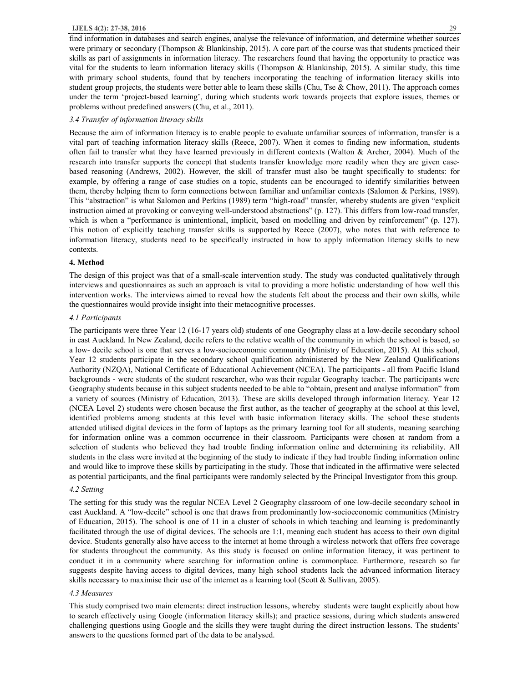## **IJELS 4(2): 27-38, 2016** 29

find information in databases and search engines, analyse the relevance of information, and determine whether sources were primary or secondary (Thompson & Blankinship, 2015). A core part of the course was that students practiced their skills as part of assignments in information literacy. The researchers found that having the opportunity to practice was vital for the students to learn information literacy skills (Thompson & Blankinship, 2015). A similar study, this time with primary school students, found that by teachers incorporating the teaching of information literacy skills into student group projects, the students were better able to learn these skills (Chu, Tse & Chow, 2011). The approach comes under the term 'project-based learning', during which students work towards projects that explore issues, themes or problems without predefined answers (Chu, et al., 2011).

# *3.4 Transfer of information literacy skills*

Because the aim of information literacy is to enable people to evaluate unfamiliar sources of information, transfer is a vital part of teaching information literacy skills (Reece, 2007). When it comes to finding new information, students often fail to transfer what they have learned previously in different contexts (Walton & Archer, 2004). Much of the research into transfer supports the concept that students transfer knowledge more readily when they are given casebased reasoning (Andrews, 2002). However, the skill of transfer must also be taught specifically to students: for example, by offering a range of case studies on a topic, students can be encouraged to identify similarities between them, thereby helping them to form connections between familiar and unfamiliar contexts (Salomon & Perkins, 1989). This "abstraction" is what Salomon and Perkins (1989) term "high-road" transfer, whereby students are given "explicit instruction aimed at provoking or conveying well-understood abstractions" (p. 127). This differs from low-road transfer, which is when a "performance is unintentional, implicit, based on modelling and driven by reinforcement" (p. 127). This notion of explicitly teaching transfer skills is supported by Reece (2007), who notes that with reference to information literacy, students need to be specifically instructed in how to apply information literacy skills to new contexts.

## **4. Method**

The design of this project was that of a small-scale intervention study. The study was conducted qualitatively through interviews and questionnaires as such an approach is vital to providing a more holistic understanding of how well this intervention works. The interviews aimed to reveal how the students felt about the process and their own skills, while the questionnaires would provide insight into their metacognitive processes.

## *4.1 Participants*

The participants were three Year 12 (16-17 years old) students of one Geography class at a low-decile secondary school in east Auckland. In New Zealand, decile refers to the relative wealth of the community in which the school is based, so a low- decile school is one that serves a low-socioeconomic community (Ministry of Education, 2015). At this school, Year 12 students participate in the secondary school qualification administered by the New Zealand Qualifications Authority (NZQA), National Certificate of Educational Achievement (NCEA). The participants - all from Pacific Island backgrounds - were students of the student researcher, who was their regular Geography teacher. The participants were Geography students because in this subject students needed to be able to "obtain, present and analyse information" from a variety of sources (Ministry of Education, 2013). These are skills developed through information literacy. Year 12 (NCEA Level 2) students were chosen because the first author, as the teacher of geography at the school at this level, identified problems among students at this level with basic information literacy skills. The school these students attended utilised digital devices in the form of laptops as the primary learning tool for all students, meaning searching for information online was a common occurrence in their classroom. Participants were chosen at random from a selection of students who believed they had trouble finding information online and determining its reliability. All students in the class were invited at the beginning of the study to indicate if they had trouble finding information online and would like to improve these skills by participating in the study. Those that indicated in the affirmative were selected as potential participants, and the final participants were randomly selected by the Principal Investigator from this group.

## *4.2 Setting*

The setting for this study was the regular NCEA Level 2 Geography classroom of one low-decile secondary school in east Auckland. A "low-decile" school is one that draws from predominantly low-socioeconomic communities (Ministry of Education, 2015). The school is one of 11 in a cluster of schools in which teaching and learning is predominantly facilitated through the use of digital devices. The schools are 1:1, meaning each student has access to their own digital device. Students generally also have access to the internet at home through a wireless network that offers free coverage for students throughout the community. As this study is focused on online information literacy, it was pertinent to conduct it in a community where searching for information online is commonplace. Furthermore, research so far suggests despite having access to digital devices, many high school students lack the advanced information literacy skills necessary to maximise their use of the internet as a learning tool (Scott & Sullivan, 2005).

#### *4.3 Measures*

This study comprised two main elements: direct instruction lessons, whereby students were taught explicitly about how to search effectively using Google (information literacy skills); and practice sessions, during which students answered challenging questions using Google and the skills they were taught during the direct instruction lessons. The students' answers to the questions formed part of the data to be analysed.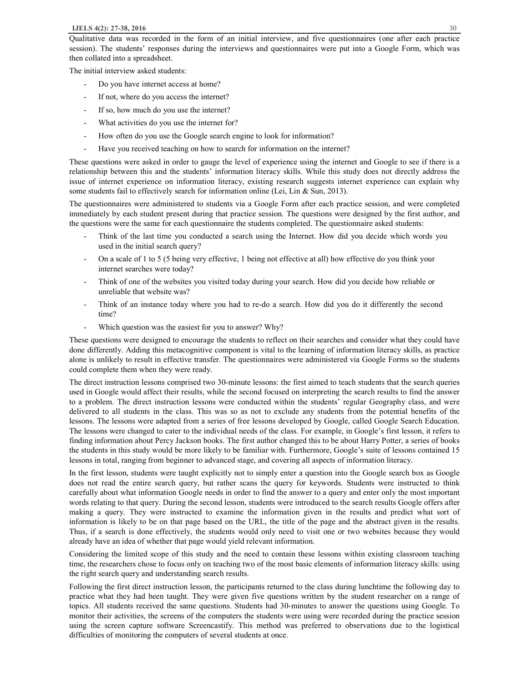Qualitative data was recorded in the form of an initial interview, and five questionnaires (one after each practice session). The students' responses during the interviews and questionnaires were put into a Google Form, which was then collated into a spreadsheet.

The initial interview asked students:

- Do you have internet access at home?
- If not, where do you access the internet?
- If so, how much do you use the internet?
- What activities do you use the internet for?
- How often do you use the Google search engine to look for information?
- Have you received teaching on how to search for information on the internet?

These questions were asked in order to gauge the level of experience using the internet and Google to see if there is a relationship between this and the students' information literacy skills. While this study does not directly address the issue of internet experience on information literacy, existing research suggests internet experience can explain why some students fail to effectively search for information online (Lei, Lin & Sun, 2013).

The questionnaires were administered to students via a Google Form after each practice session, and were completed immediately by each student present during that practice session. The questions were designed by the first author, and the questions were the same for each questionnaire the students completed. The questionnaire asked students:

- Think of the last time you conducted a search using the Internet. How did you decide which words you used in the initial search query?
- On a scale of 1 to 5 (5 being very effective, 1 being not effective at all) how effective do you think your internet searches were today?
- Think of one of the websites you visited today during your search. How did you decide how reliable or unreliable that website was?
- Think of an instance today where you had to re-do a search. How did you do it differently the second time?
- Which question was the easiest for you to answer? Why?

These questions were designed to encourage the students to reflect on their searches and consider what they could have done differently. Adding this metacognitive component is vital to the learning of information literacy skills, as practice alone is unlikely to result in effective transfer. The questionnaires were administered via Google Forms so the students could complete them when they were ready.

The direct instruction lessons comprised two 30-minute lessons: the first aimed to teach students that the search queries used in Google would affect their results, while the second focused on interpreting the search results to find the answer to a problem. The direct instruction lessons were conducted within the students' regular Geography class, and were delivered to all students in the class. This was so as not to exclude any students from the potential benefits of the lessons. The lessons were adapted from a series of free lessons developed by Google, called Google Search Education. The lessons were changed to cater to the individual needs of the class. For example, in Google's first lesson, it refers to finding information about Percy Jackson books. The first author changed this to be about Harry Potter, a series of books the students in this study would be more likely to be familiar with. Furthermore, Google's suite of lessons contained 15 lessons in total, ranging from beginner to advanced stage, and covering all aspects of information literacy.

In the first lesson, students were taught explicitly not to simply enter a question into the Google search box as Google does not read the entire search query, but rather scans the query for keywords. Students were instructed to think carefully about what information Google needs in order to find the answer to a query and enter only the most important words relating to that query. During the second lesson, students were introduced to the search results Google offers after making a query. They were instructed to examine the information given in the results and predict what sort of information is likely to be on that page based on the URL, the title of the page and the abstract given in the results. Thus, if a search is done effectively, the students would only need to visit one or two websites because they would already have an idea of whether that page would yield relevant information.

Considering the limited scope of this study and the need to contain these lessons within existing classroom teaching time, the researchers chose to focus only on teaching two of the most basic elements of information literacy skills: using the right search query and understanding search results.

Following the first direct instruction lesson, the participants returned to the class during lunchtime the following day to practice what they had been taught. They were given five questions written by the student researcher on a range of topics. All students received the same questions. Students had 30-minutes to answer the questions using Google. To monitor their activities, the screens of the computers the students were using were recorded during the practice session using the screen capture software Screencastify. This method was preferred to observations due to the logistical difficulties of monitoring the computers of several students at once.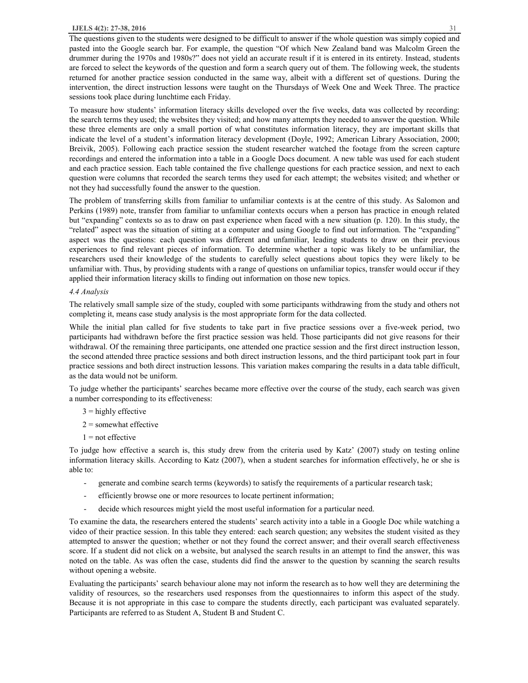The questions given to the students were designed to be difficult to answer if the whole question was simply copied and pasted into the Google search bar. For example, the question "Of which New Zealand band was Malcolm Green the drummer during the 1970s and 1980s?" does not yield an accurate result if it is entered in its entirety. Instead, students are forced to select the keywords of the question and form a search query out of them. The following week, the students returned for another practice session conducted in the same way, albeit with a different set of questions. During the intervention, the direct instruction lessons were taught on the Thursdays of Week One and Week Three. The practice sessions took place during lunchtime each Friday.

To measure how students' information literacy skills developed over the five weeks, data was collected by recording: the search terms they used; the websites they visited; and how many attempts they needed to answer the question. While these three elements are only a small portion of what constitutes information literacy, they are important skills that indicate the level of a student's information literacy development (Doyle, 1992; American Library Association, 2000; Breivik, 2005). Following each practice session the student researcher watched the footage from the screen capture recordings and entered the information into a table in a Google Docs document. A new table was used for each student and each practice session. Each table contained the five challenge questions for each practice session, and next to each question were columns that recorded the search terms they used for each attempt; the websites visited; and whether or not they had successfully found the answer to the question.

The problem of transferring skills from familiar to unfamiliar contexts is at the centre of this study. As Salomon and Perkins (1989) note, transfer from familiar to unfamiliar contexts occurs when a person has practice in enough related but "expanding" contexts so as to draw on past experience when faced with a new situation (p. 120). In this study, the "related" aspect was the situation of sitting at a computer and using Google to find out information. The "expanding" aspect was the questions: each question was different and unfamiliar, leading students to draw on their previous experiences to find relevant pieces of information. To determine whether a topic was likely to be unfamiliar, the researchers used their knowledge of the students to carefully select questions about topics they were likely to be unfamiliar with. Thus, by providing students with a range of questions on unfamiliar topics, transfer would occur if they applied their information literacy skills to finding out information on those new topics.

## *4.4 Analysis*

The relatively small sample size of the study, coupled with some participants withdrawing from the study and others not completing it, means case study analysis is the most appropriate form for the data collected.

While the initial plan called for five students to take part in five practice sessions over a five-week period, two participants had withdrawn before the first practice session was held. Those participants did not give reasons for their withdrawal. Of the remaining three participants, one attended one practice session and the first direct instruction lesson, the second attended three practice sessions and both direct instruction lessons, and the third participant took part in four practice sessions and both direct instruction lessons. This variation makes comparing the results in a data table difficult, as the data would not be uniform.

To judge whether the participants' searches became more effective over the course of the study, each search was given a number corresponding to its effectiveness:

- $3$  = highly effective
- $2 =$ somewhat effective
- $1 =$  not effective

To judge how effective a search is, this study drew from the criteria used by Katz' (2007) study on testing online information literacy skills. According to Katz (2007), when a student searches for information effectively, he or she is able to:

- generate and combine search terms (keywords) to satisfy the requirements of a particular research task;
- efficiently browse one or more resources to locate pertinent information;
- decide which resources might yield the most useful information for a particular need.

To examine the data, the researchers entered the students' search activity into a table in a Google Doc while watching a video of their practice session. In this table they entered: each search question; any websites the student visited as they attempted to answer the question; whether or not they found the correct answer; and their overall search effectiveness score. If a student did not click on a website, but analysed the search results in an attempt to find the answer, this was noted on the table. As was often the case, students did find the answer to the question by scanning the search results without opening a website.

Evaluating the participants' search behaviour alone may not inform the research as to how well they are determining the validity of resources, so the researchers used responses from the questionnaires to inform this aspect of the study. Because it is not appropriate in this case to compare the students directly, each participant was evaluated separately. Participants are referred to as Student A, Student B and Student C.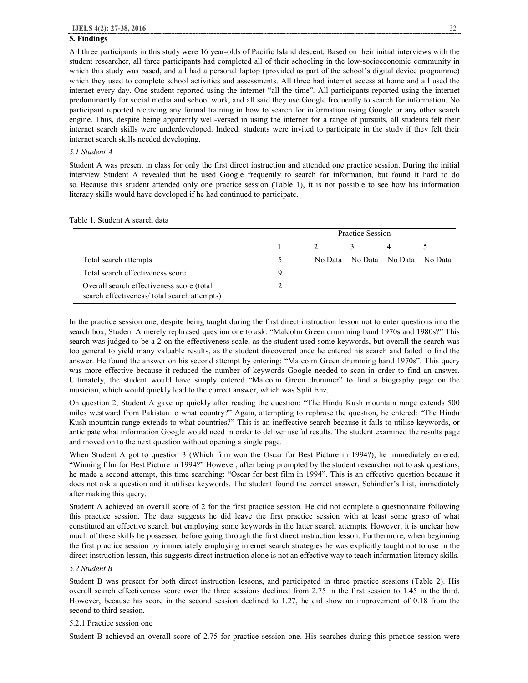## **5. Findings**

All three participants in this study were 16 year-olds of Pacific Island descent. Based on their initial interviews with the student researcher, all three participants had completed all of their schooling in the low-socioeconomic community in which this study was based, and all had a personal laptop (provided as part of the school's digital device programme) which they used to complete school activities and assessments. All three had internet access at home and all used the internet every day. One student reported using the internet "all the time". All participants reported using the internet predominantly for social media and school work, and all said they use Google frequently to search for information. No participant reported receiving any formal training in how to search for information using Google or any other search engine. Thus, despite being apparently well-versed in using the internet for a range of pursuits, all students felt their internet search skills were underdeveloped. Indeed, students were invited to participate in the study if they felt their internet search skills needed developing.

#### *5.1 Student A*

Student A was present in class for only the first direct instruction and attended one practice session. During the initial interview Student A revealed that he used Google frequently to search for information, but found it hard to do so. Because this student attended only one practice session (Table 1), it is not possible to see how his information literacy skills would have developed if he had continued to participate.

|                                                                                          | Practice Session |  |                         |                |           |
|------------------------------------------------------------------------------------------|------------------|--|-------------------------|----------------|-----------|
|                                                                                          |                  |  |                         | $\overline{4}$ |           |
| Total search attempts                                                                    |                  |  | No Data No Data No Data |                | - No Data |
| Total search effectiveness score                                                         | 9                |  |                         |                |           |
| Overall search effectiveness score (total<br>search effectiveness/total search attempts) |                  |  |                         |                |           |

Table 1. Student A search data

In the practice session one, despite being taught during the first direct instruction lesson not to enter questions into the search box, Student A merely rephrased question one to ask: "Malcolm Green drumming band 1970s and 1980s?" This search was judged to be a 2 on the effectiveness scale, as the student used some keywords, but overall the search was too general to yield many valuable results, as the student discovered once he entered his search and failed to find the answer. He found the answer on his second attempt by entering: "Malcolm Green drumming band 1970s". This query was more effective because it reduced the number of keywords Google needed to scan in order to find an answer. Ultimately, the student would have simply entered "Malcolm Green drummer" to find a biography page on the musician, which would quickly lead to the correct answer, which was Split Enz.

On question 2, Student A gave up quickly after reading the question: "The Hindu Kush mountain range extends 500 miles westward from Pakistan to what country?" Again, attempting to rephrase the question, he entered: "The Hindu Kush mountain range extends to what countries?" This is an ineffective search because it fails to utilise keywords, or anticipate what information Google would need in order to deliver useful results. The student examined the results page and moved on to the next question without opening a single page.

When Student A got to question 3 (Which film won the Oscar for Best Picture in 1994?), he immediately entered: "Winning film for Best Picture in 1994?" However, after being prompted by the student researcher not to ask questions, he made a second attempt, this time searching: "Oscar for best film in 1994". This is an effective question because it does not ask a question and it utilises keywords. The student found the correct answer, Schindler's List, immediately after making this query.

Student A achieved an overall score of 2 for the first practice session. He did not complete a questionnaire following this practice session. The data suggests he did leave the first practice session with at least some grasp of what constituted an effective search but employing some keywords in the latter search attempts. However, it is unclear how much of these skills he possessed before going through the first direct instruction lesson. Furthermore, when beginning the first practice session by immediately employing internet search strategies he was explicitly taught not to use in the direct instruction lesson, this suggests direct instruction alone is not an effective way to teach information literacy skills.

#### *5.2 Student B*

Student B was present for both direct instruction lessons, and participated in three practice sessions (Table 2). His overall search effectiveness score over the three sessions declined from 2.75 in the first session to 1.45 in the third. However, because his score in the second session declined to 1.27, he did show an improvement of 0.18 from the second to third session.

## 5.2.1 Practice session one

Student B achieved an overall score of 2.75 for practice session one. His searches during this practice session were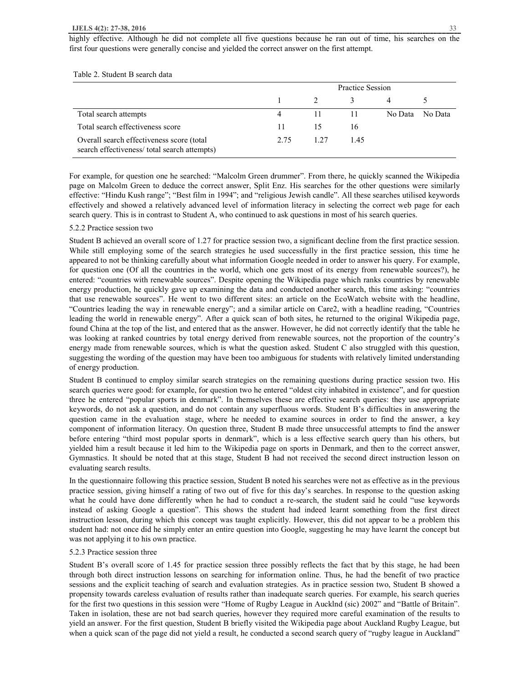#### **IJELS 4(2): 27-38, 2016** 33

highly effective. Although he did not complete all five questions because he ran out of time, his searches on the first four questions were generally concise and yielded the correct answer on the first attempt.

|                                                                                          | Practice Session |      |      |         |         |
|------------------------------------------------------------------------------------------|------------------|------|------|---------|---------|
|                                                                                          |                  |      |      |         |         |
| Total search attempts                                                                    | 4                | 11   | - 11 | No Data | No Data |
| Total search effectiveness score                                                         | 11               | 15   | 16   |         |         |
| Overall search effectiveness score (total<br>search effectiveness/total search attempts) | 2.75             | 1.27 | 1.45 |         |         |

Table 2. Student B search data

For example, for question one he searched: "Malcolm Green drummer". From there, he quickly scanned the Wikipedia page on Malcolm Green to deduce the correct answer, Split Enz. His searches for the other questions were similarly effective: "Hindu Kush range"; "Best film in 1994"; and "religious Jewish candle". All these searches utilised keywords effectively and showed a relatively advanced level of information literacy in selecting the correct web page for each search query. This is in contrast to Student A, who continued to ask questions in most of his search queries.

## 5.2.2 Practice session two

Student B achieved an overall score of 1.27 for practice session two, a significant decline from the first practice session. While still employing some of the search strategies he used successfully in the first practice session, this time he appeared to not be thinking carefully about what information Google needed in order to answer his query. For example, for question one (Of all the countries in the world, which one gets most of its energy from renewable sources?), he entered: "countries with renewable sources". Despite opening the Wikipedia page which ranks countries by renewable energy production, he quickly gave up examining the data and conducted another search, this time asking: "countries that use renewable sources". He went to two different sites: an article on the EcoWatch website with the headline, "Countries leading the way in renewable energy"; and a similar article on Care2, with a headline reading, "Countries leading the world in renewable energy". After a quick scan of both sites, he returned to the original Wikipedia page, found China at the top of the list, and entered that as the answer. However, he did not correctly identify that the table he was looking at ranked countries by total energy derived from renewable sources, not the proportion of the country's energy made from renewable sources, which is what the question asked. Student C also struggled with this question, suggesting the wording of the question may have been too ambiguous for students with relatively limited understanding of energy production.

Student B continued to employ similar search strategies on the remaining questions during practice session two. His search queries were good: for example, for question two he entered "oldest city inhabited in existence", and for question three he entered "popular sports in denmark". In themselves these are effective search queries: they use appropriate keywords, do not ask a question, and do not contain any superfluous words. Student B's difficulties in answering the question came in the evaluation stage, where he needed to examine sources in order to find the answer, a key component of information literacy. On question three, Student B made three unsuccessful attempts to find the answer before entering "third most popular sports in denmark", which is a less effective search query than his others, but yielded him a result because it led him to the Wikipedia page on sports in Denmark, and then to the correct answer, Gymnastics. It should be noted that at this stage, Student B had not received the second direct instruction lesson on evaluating search results.

In the questionnaire following this practice session, Student B noted his searches were not as effective as in the previous practice session, giving himself a rating of two out of five for this day's searches. In response to the question asking what he could have done differently when he had to conduct a re-search, the student said he could "use keywords instead of asking Google a question". This shows the student had indeed learnt something from the first direct instruction lesson, during which this concept was taught explicitly. However, this did not appear to be a problem this student had: not once did he simply enter an entire question into Google, suggesting he may have learnt the concept but was not applying it to his own practice.

#### 5.2.3 Practice session three

Student B's overall score of 1.45 for practice session three possibly reflects the fact that by this stage, he had been through both direct instruction lessons on searching for information online. Thus, he had the benefit of two practice sessions and the explicit teaching of search and evaluation strategies. As in practice session two, Student B showed a propensity towards careless evaluation of results rather than inadequate search queries. For example, his search queries for the first two questions in this session were "Home of Rugby League in Aucklnd (sic) 2002" and "Battle of Britain". Taken in isolation, these are not bad search queries, however they required more careful examination of the results to yield an answer. For the first question, Student B briefly visited the Wikipedia page about Auckland Rugby League, but when a quick scan of the page did not yield a result, he conducted a second search query of "rugby league in Auckland"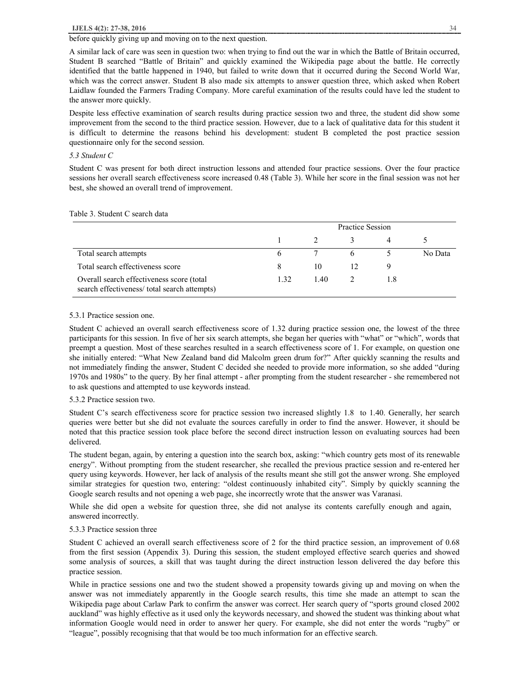## before quickly giving up and moving on to the next question.

A similar lack of care was seen in question two: when trying to find out the war in which the Battle of Britain occurred, Student B searched "Battle of Britain" and quickly examined the Wikipedia page about the battle. He correctly identified that the battle happened in 1940, but failed to write down that it occurred during the Second World War, which was the correct answer. Student B also made six attempts to answer question three, which asked when Robert Laidlaw founded the Farmers Trading Company. More careful examination of the results could have led the student to the answer more quickly.

Despite less effective examination of search results during practice session two and three, the student did show some improvement from the second to the third practice session. However, due to a lack of qualitative data for this student it is difficult to determine the reasons behind his development: student B completed the post practice session questionnaire only for the second session.

# *5.3 Student C*

Student C was present for both direct instruction lessons and attended four practice sessions. Over the four practice sessions her overall search effectiveness score increased 0.48 (Table 3). While her score in the final session was not her best, she showed an overall trend of improvement.

|                                                                                          | Practice Session |      |   |     |         |
|------------------------------------------------------------------------------------------|------------------|------|---|-----|---------|
|                                                                                          |                  |      |   | 4   |         |
| Total search attempts                                                                    | 6                |      | 6 |     | No Data |
| Total search effectiveness score                                                         | 8                | 10   |   | 9   |         |
| Overall search effectiveness score (total<br>search effectiveness/total search attempts) | 132              | 1.40 |   | 1.8 |         |

# Table 3. Student C search data

## 5.3.1 Practice session one.

Student C achieved an overall search effectiveness score of 1.32 during practice session one, the lowest of the three participants for this session. In five of her six search attempts, she began her queries with "what" or "which", words that preempt a question. Most of these searches resulted in a search effectiveness score of 1. For example, on question one she initially entered: "What New Zealand band did Malcolm green drum for?" After quickly scanning the results and not immediately finding the answer, Student C decided she needed to provide more information, so she added "during 1970s and 1980s" to the query. By her final attempt - after prompting from the student researcher - she remembered not to ask questions and attempted to use keywords instead.

## 5.3.2 Practice session two.

Student C's search effectiveness score for practice session two increased slightly 1.8 to 1.40. Generally, her search queries were better but she did not evaluate the sources carefully in order to find the answer. However, it should be noted that this practice session took place before the second direct instruction lesson on evaluating sources had been delivered.

The student began, again, by entering a question into the search box, asking: "which country gets most of its renewable energy". Without prompting from the student researcher, she recalled the previous practice session and re-entered her query using keywords. However, her lack of analysis of the results meant she still got the answer wrong. She employed similar strategies for question two, entering: "oldest continuously inhabited city". Simply by quickly scanning the Google search results and not opening a web page, she incorrectly wrote that the answer was Varanasi.

While she did open a website for question three, she did not analyse its contents carefully enough and again, answered incorrectly.

## 5.3.3 Practice session three

Student C achieved an overall search effectiveness score of 2 for the third practice session, an improvement of 0.68 from the first session (Appendix 3). During this session, the student employed effective search queries and showed some analysis of sources, a skill that was taught during the direct instruction lesson delivered the day before this practice session.

While in practice sessions one and two the student showed a propensity towards giving up and moving on when the answer was not immediately apparently in the Google search results, this time she made an attempt to scan the Wikipedia page about Carlaw Park to confirm the answer was correct. Her search query of "sports ground closed 2002 auckland" was highly effective as it used only the keywords necessary, and showed the student was thinking about what information Google would need in order to answer her query. For example, she did not enter the words "rugby" or "league", possibly recognising that that would be too much information for an effective search.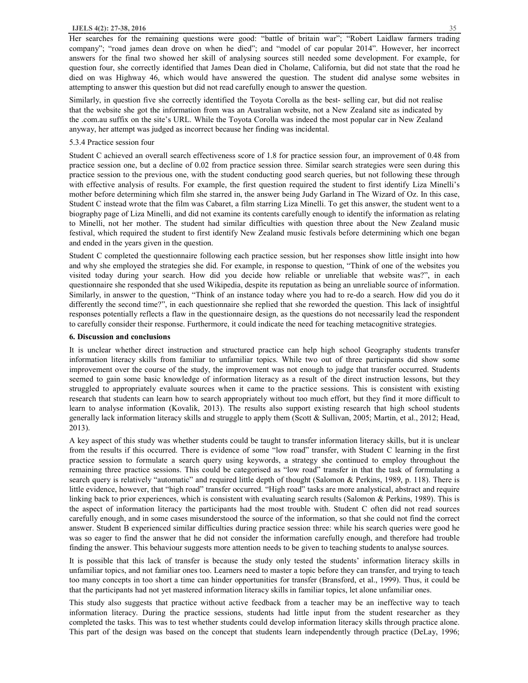Her searches for the remaining questions were good: "battle of britain war"; "Robert Laidlaw farmers trading company"; "road james dean drove on when he died"; and "model of car popular 2014". However, her incorrect answers for the final two showed her skill of analysing sources still needed some development. For example, for question four, she correctly identified that James Dean died in Cholame, California, but did not state that the road he died on was Highway 46, which would have answered the question. The student did analyse some websites in attempting to answer this question but did not read carefully enough to answer the question.

Similarly, in question five she correctly identified the Toyota Corolla as the best- selling car, but did not realise that the website she got the information from was an Australian website, not a New Zealand site as indicated by the .com.au suffix on the site's URL. While the Toyota Corolla was indeed the most popular car in New Zealand anyway, her attempt was judged as incorrect because her finding was incidental.

## 5.3.4 Practice session four

Student C achieved an overall search effectiveness score of 1.8 for practice session four, an improvement of 0.48 from practice session one, but a decline of 0.02 from practice session three. Similar search strategies were seen during this practice session to the previous one, with the student conducting good search queries, but not following these through with effective analysis of results. For example, the first question required the student to first identify Liza Minelli's mother before determining which film she starred in, the answer being Judy Garland in The Wizard of Oz. In this case, Student C instead wrote that the film was Cabaret, a film starring Liza Minelli. To get this answer, the student went to a biography page of Liza Minelli, and did not examine its contents carefully enough to identify the information as relating to Minelli, not her mother. The student had similar difficulties with question three about the New Zealand music festival, which required the student to first identify New Zealand music festivals before determining which one began and ended in the years given in the question.

Student C completed the questionnaire following each practice session, but her responses show little insight into how and why she employed the strategies she did. For example, in response to question, "Think of one of the websites you visited today during your search. How did you decide how reliable or unreliable that website was?", in each questionnaire she responded that she used Wikipedia, despite its reputation as being an unreliable source of information. Similarly, in answer to the question, "Think of an instance today where you had to re-do a search. How did you do it differently the second time?", in each questionnaire she replied that she reworded the question. This lack of insightful responses potentially reflects a flaw in the questionnaire design, as the questions do not necessarily lead the respondent to carefully consider their response. Furthermore, it could indicate the need for teaching metacognitive strategies.

## **6. Discussion and conclusions**

It is unclear whether direct instruction and structured practice can help high school Geography students transfer information literacy skills from familiar to unfamiliar topics. While two out of three participants did show some improvement over the course of the study, the improvement was not enough to judge that transfer occurred. Students seemed to gain some basic knowledge of information literacy as a result of the direct instruction lessons, but they struggled to appropriately evaluate sources when it came to the practice sessions. This is consistent with existing research that students can learn how to search appropriately without too much effort, but they find it more difficult to learn to analyse information (Kovalik, 2013). The results also support existing research that high school students generally lack information literacy skills and struggle to apply them (Scott & Sullivan, 2005; Martin, et al., 2012; Head, 2013).

A key aspect of this study was whether students could be taught to transfer information literacy skills, but it is unclear from the results if this occurred. There is evidence of some "low road" transfer, with Student C learning in the first practice session to formulate a search query using keywords, a strategy she continued to employ throughout the remaining three practice sessions. This could be categorised as "low road" transfer in that the task of formulating a search query is relatively "automatic" and required little depth of thought (Salomon & Perkins, 1989, p. 118). There is little evidence, however, that "high road" transfer occurred. "High road" tasks are more analystical, abstract and require linking back to prior experiences, which is consistent with evaluating search results (Salomon & Perkins, 1989). This is the aspect of information literacy the participants had the most trouble with. Student C often did not read sources carefully enough, and in some cases misunderstood the source of the information, so that she could not find the correct answer. Student B experienced similar difficulties during practice session three: while his search queries were good he was so eager to find the answer that he did not consider the information carefully enough, and therefore had trouble finding the answer. This behaviour suggests more attention needs to be given to teaching students to analyse sources.

It is possible that this lack of transfer is because the study only tested the students' information literacy skills in unfamiliar topics, and not familiar ones too. Learners need to master a topic before they can transfer, and trying to teach too many concepts in too short a time can hinder opportunities for transfer (Bransford, et al., 1999). Thus, it could be that the participants had not yet mastered information literacy skills in familiar topics, let alone unfamiliar ones.

This study also suggests that practice without active feedback from a teacher may be an ineffective way to teach information literacy. During the practice sessions, students had little input from the student researcher as they completed the tasks. This was to test whether students could develop information literacy skills through practice alone. This part of the design was based on the concept that students learn independently through practice (DeLay, 1996;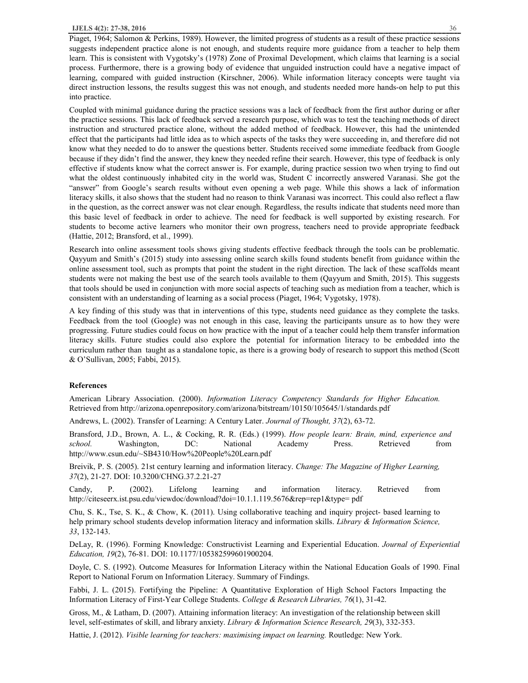Piaget, 1964; Salomon & Perkins, 1989). However, the limited progress of students as a result of these practice sessions suggests independent practice alone is not enough, and students require more guidance from a teacher to help them learn. This is consistent with Vygotsky's (1978) Zone of Proximal Development, which claims that learning is a social process. Furthermore, there is a growing body of evidence that unguided instruction could have a negative impact of learning, compared with guided instruction (Kirschner, 2006). While information literacy concepts were taught via direct instruction lessons, the results suggest this was not enough, and students needed more hands-on help to put this into practice.

Coupled with minimal guidance during the practice sessions was a lack of feedback from the first author during or after the practice sessions. This lack of feedback served a research purpose, which was to test the teaching methods of direct instruction and structured practice alone, without the added method of feedback. However, this had the unintended effect that the participants had little idea as to which aspects of the tasks they were succeeding in, and therefore did not know what they needed to do to answer the questions better. Students received some immediate feedback from Google because if they didn't find the answer, they knew they needed refine their search. However, this type of feedback is only effective if students know what the correct answer is. For example, during practice session two when trying to find out what the oldest continuously inhabited city in the world was, Student C incorrectly answered Varanasi. She got the "answer" from Google's search results without even opening a web page. While this shows a lack of information literacy skills, it also shows that the student had no reason to think Varanasi was incorrect. This could also reflect a flaw in the question, as the correct answer was not clear enough. Regardless, the results indicate that students need more than this basic level of feedback in order to achieve. The need for feedback is well supported by existing research. For students to become active learners who monitor their own progress, teachers need to provide appropriate feedback (Hattie, 2012; Bransford, et al., 1999).

Research into online assessment tools shows giving students effective feedback through the tools can be problematic. Qayyum and Smith's (2015) study into assessing online search skills found students benefit from guidance within the online assessment tool, such as prompts that point the student in the right direction. The lack of these scaffolds meant students were not making the best use of the search tools available to them (Qayyum and Smith, 2015). This suggests that tools should be used in conjunction with more social aspects of teaching such as mediation from a teacher, which is consistent with an understanding of learning as a social process (Piaget, 1964; Vygotsky, 1978).

A key finding of this study was that in interventions of this type, students need guidance as they complete the tasks. Feedback from the tool (Google) was not enough in this case, leaving the participants unsure as to how they were progressing. Future studies could focus on how practice with the input of a teacher could help them transfer information literacy skills. Future studies could also explore the potential for information literacy to be embedded into the curriculum rather than taught as a standalone topic, as there is a growing body of research to support this method (Scott & O'Sullivan, 2005; Fabbi, 2015).

## **References**

American Library Association. (2000). *Information Literacy Competency Standards for Higher Education.*  Retrieved from http://arizona.openrepository.com/arizona/bitstream/10150/105645/1/standards.pdf

Andrews, L. (2002). Transfer of Learning: A Century Later. *Journal of Thought, 37*(2), 63-72.

Bransford, J.D., Brown, A. L., & Cocking, R. R. (Eds.) (1999). *How people learn: Brain, mind, experience and school.* Washington, DC: National Academy Press. Retrieved from http://www.csun.edu/~SB4310/How%20People%20Learn.pdf

Breivik, P. S. (2005). 21st century learning and information literacy. *Change: The Magazine of Higher Learning, 37*(2), 21-27. DOI: 10.3200/CHNG.37.2.21-27

Candy, P. (2002). Lifelong learning and information literacy. Retrieved from http://citeseerx.ist.psu.edu/viewdoc/download?doi=10.1.1.119.5676&rep=rep1&type= pdf

Chu, S. K., Tse, S. K., & Chow, K. (2011). Using collaborative teaching and inquiry project- based learning to help primary school students develop information literacy and information skills. *Library & Information Science, 33*, 132-143.

DeLay, R. (1996). Forming Knowledge: Constructivist Learning and Experiential Education. *Journal of Experiential Education, 19*(2), 76-81. DOI: 10.1177/105382599601900204.

Doyle, C. S. (1992). Outcome Measures for Information Literacy within the National Education Goals of 1990. Final Report to National Forum on Information Literacy. Summary of Findings.

Fabbi, J. L. (2015). Fortifying the Pipeline: A Quantitative Exploration of High School Factors Impacting the Information Literacy of First-Year College Students. *College & Research Libraries, 76*(1), 31-42.

Gross, M., & Latham, D. (2007). Attaining information literacy: An investigation of the relationship between skill level, self-estimates of skill, and library anxiety. *Library & Information Science Research, 29*(3), 332-353.

Hattie, J. (2012). *Visible learning for teachers: maximising impact on learning.* Routledge: New York.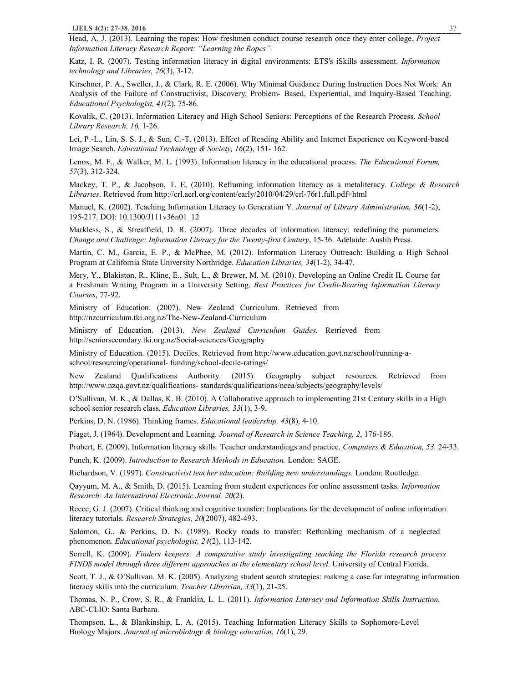Head, A. J. (2013). Learning the ropes: How freshmen conduct course research once they enter college. *Project Information Literacy Research Report: "Learning the Ropes".*

Katz, I. R. (2007). Testing information literacy in digital environments: ETS's iSkills assessment. *Information technology and Libraries, 26*(3), 3-12.

Kirschner, P. A., Sweller, J., & Clark, R. E. (2006). Why Minimal Guidance During Instruction Does Not Work: An Analysis of the Failure of Constructivist, Discovery, Problem- Based, Experiential, and Inquiry-Based Teaching. *Educational Psychologist, 41*(2), 75-86.

Kovalik, C. (2013). Information Literacy and High School Seniors: Perceptions of the Research Process. *School Library Research, 16,* 1-26.

Lei, P.-L., Lin, S. S. J., & Sun, C.-T. (2013). Effect of Reading Ability and Internet Experience on Keyword-based Image Search. *Educational Technology & Society, 16*(2), 151- 162.

Lenox, M. F., & Walker, M. L. (1993). Information literacy in the educational process. *The Educational Forum, 57*(3), 312-324.

Mackey, T. P., & Jacobson, T. E. (2010). Reframing information literacy as a metaliteracy. *College & Research Libraries*. Retrieved from http://crl.acrl.org/content/early/2010/04/29/crl-76r1.full.pdf+html

Manuel, K. (2002). Teaching Information Literacy to Generation Y. *Journal of Library Administration, 36*(1-2), 195-217. DOI: 10.1300/J111v36n01\_12

Markless, S., & Streatfield, D. R. (2007). Three decades of information literacy: redefining the parameters. *Change and Challenge: Information Literacy for the Twenty-first Century*, 15-36. Adelaide: Auslib Press.

Martin, C. M., Garcia, E. P., & McPhee, M. (2012). Information Literacy Outreach: Building a High School Program at California State University Northridge. *Education Libraries, 34*(1-2), 34-47.

Mery, Y., Blakiston, R., Kline, E., Sult, L., & Brewer, M. M. (2010). Developing an Online Credit IL Course for a Freshman Writing Program in a University Setting. *Best Practices for Credit-Bearing Information Literacy Courses*, 77-92.

Ministry of Education. (2007). New Zealand Curriculum. Retrieved from http://nzcurriculum.tki.org.nz/The-New-Zealand-Curriculum

Ministry of Education. (2013). *New Zealand Curriculum Guides.* Retrieved from http://seniorsecondary.tki.org.nz/Social-sciences/Geography

Ministry of Education. (2015). Deciles. Retrieved from http://www.education.govt.nz/school/running-aschool/resourcing/operational- funding/school-decile-ratings/

New Zealand Qualifications Authority. (2015). Geography subject resources. Retrieved from http://www.nzqa.govt.nz/qualifications- standards/qualifications/ncea/subjects/geography/levels/

O'Sullivan, M. K., & Dallas, K. B. (2010). A Collaborative approach to implementing 21st Century skills in a High school senior research class. *Education Libraries, 33*(1), 3-9.

Perkins, D. N. (1986). Thinking frames. *Educational leadership, 43*(8), 4-10.

Piaget, J. (1964). Development and Learning. *Journal of Research in Science Teaching, 2*, 176-186.

Probert, E. (2009). Information literacy skills: Teacher understandings and practice. *Computers & Education, 53,* 24-33.

Punch, K. (2009). *Introduction to Research Methods in Education.* London: SAGE.

Richardson, V. (1997). *Constructivist teacher education: Building new understandings.* London: Routledge.

Qayyum, M. A., & Smith, D. (2015). Learning from student experiences for online assessment tasks. *Information Research: An International Electronic Journal. 20*(2).

Reece, G. J. (2007). Critical thinking and cognitive transfer: Implications for the development of online information literacy tutorials. *Research Strategies, 20*(2007), 482-493.

Salomon, G., & Perkins, D. N. (1989). Rocky roads to transfer: Rethinking mechanism of a neglected phenomenon. *Educational psychologist, 24*(2), 113-142.

Serrell, K. (2009). *Finders keepers: A comparative study investigating teaching the Florida research process FINDS model through three different approaches at the elementary school level.* University of Central Florida.

Scott, T. J., & O'Sullivan, M. K. (2005). Analyzing student search strategies: making a case for integrating information literacy skills into the curriculum. *Teacher Librarian, 33*(1), 21-25.

Thomas, N. P., Crow, S. R., & Franklin, L. L. (2011). *Information Literacy and Information Skills Instruction.*  ABC-CLIO: Santa Barbara.

Thompson, L., & Blankinship, L. A. (2015). Teaching Information Literacy Skills to Sophomore-Level Biology Majors. *Journal of microbiology & biology education*, *16*(1), 29.